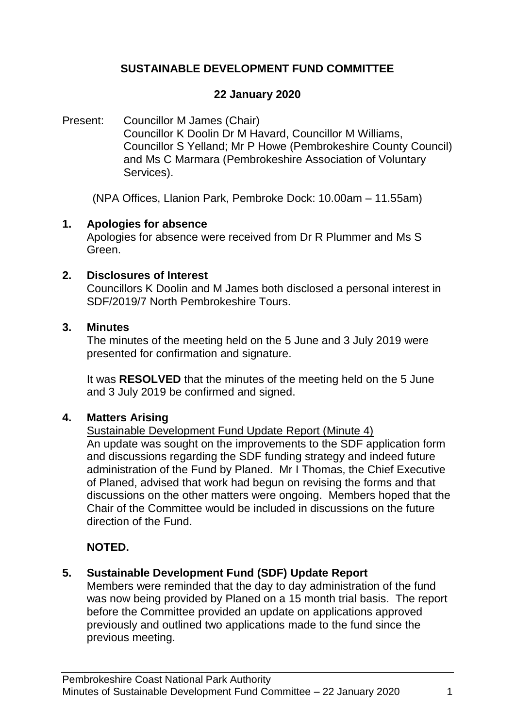# **SUSTAINABLE DEVELOPMENT FUND COMMITTEE**

### **22 January 2020**

Present: Councillor M James (Chair) Councillor K Doolin Dr M Havard, Councillor M Williams, Councillor S Yelland; Mr P Howe (Pembrokeshire County Council) and Ms C Marmara (Pembrokeshire Association of Voluntary Services).

(NPA Offices, Llanion Park, Pembroke Dock: 10.00am – 11.55am)

### **1. Apologies for absence**

Apologies for absence were received from Dr R Plummer and Ms S Green.

### **2. Disclosures of Interest**

Councillors K Doolin and M James both disclosed a personal interest in SDF/2019/7 North Pembrokeshire Tours.

#### **3. Minutes**

The minutes of the meeting held on the 5 June and 3 July 2019 were presented for confirmation and signature.

It was **RESOLVED** that the minutes of the meeting held on the 5 June and 3 July 2019 be confirmed and signed.

# **4. Matters Arising**

Sustainable Development Fund Update Report (Minute 4)

An update was sought on the improvements to the SDF application form and discussions regarding the SDF funding strategy and indeed future administration of the Fund by Planed. Mr I Thomas, the Chief Executive of Planed, advised that work had begun on revising the forms and that discussions on the other matters were ongoing. Members hoped that the Chair of the Committee would be included in discussions on the future direction of the Fund.

# **NOTED.**

# **5. Sustainable Development Fund (SDF) Update Report**

Members were reminded that the day to day administration of the fund was now being provided by Planed on a 15 month trial basis. The report before the Committee provided an update on applications approved previously and outlined two applications made to the fund since the previous meeting.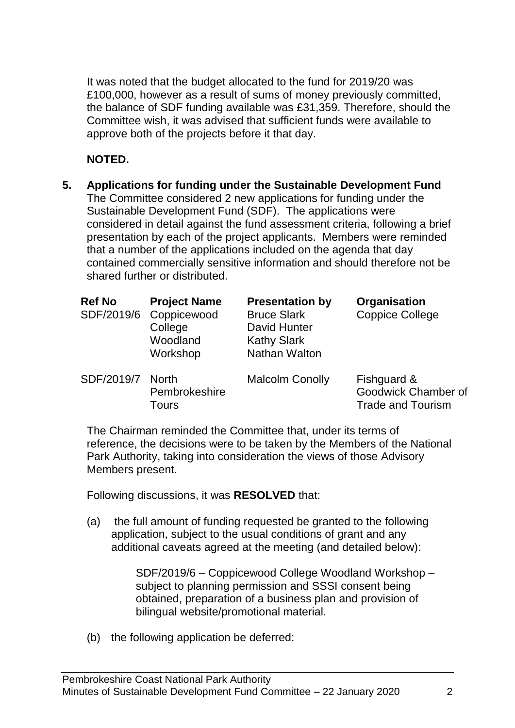It was noted that the budget allocated to the fund for 2019/20 was £100,000, however as a result of sums of money previously committed, the balance of SDF funding available was £31,359. Therefore, should the Committee wish, it was advised that sufficient funds were available to approve both of the projects before it that day.

### **NOTED.**

**5. Applications for funding under the Sustainable Development Fund** The Committee considered 2 new applications for funding under the Sustainable Development Fund (SDF). The applications were considered in detail against the fund assessment criteria, following a brief presentation by each of the project applicants. Members were reminded that a number of the applications included on the agenda that day contained commercially sensitive information and should therefore not be shared further or distributed.

| <b>Ref No</b><br>SDF/2019/6 | <b>Project Name</b><br>Coppicewood<br>College<br>Woodland<br>Workshop | <b>Presentation by</b><br><b>Bruce Slark</b><br>David Hunter<br><b>Kathy Slark</b><br>Nathan Walton | Organisation<br><b>Coppice College</b>                         |
|-----------------------------|-----------------------------------------------------------------------|-----------------------------------------------------------------------------------------------------|----------------------------------------------------------------|
| SDF/2019/7                  | <b>North</b><br>Pembrokeshire<br><b>Tours</b>                         | <b>Malcolm Conolly</b>                                                                              | Fishguard &<br>Goodwick Chamber of<br><b>Trade and Tourism</b> |

The Chairman reminded the Committee that, under its terms of reference, the decisions were to be taken by the Members of the National Park Authority, taking into consideration the views of those Advisory Members present.

Following discussions, it was **RESOLVED** that:

(a) the full amount of funding requested be granted to the following application, subject to the usual conditions of grant and any additional caveats agreed at the meeting (and detailed below):

> SDF/2019/6 – Coppicewood College Woodland Workshop – subject to planning permission and SSSI consent being obtained, preparation of a business plan and provision of bilingual website/promotional material.

(b) the following application be deferred: